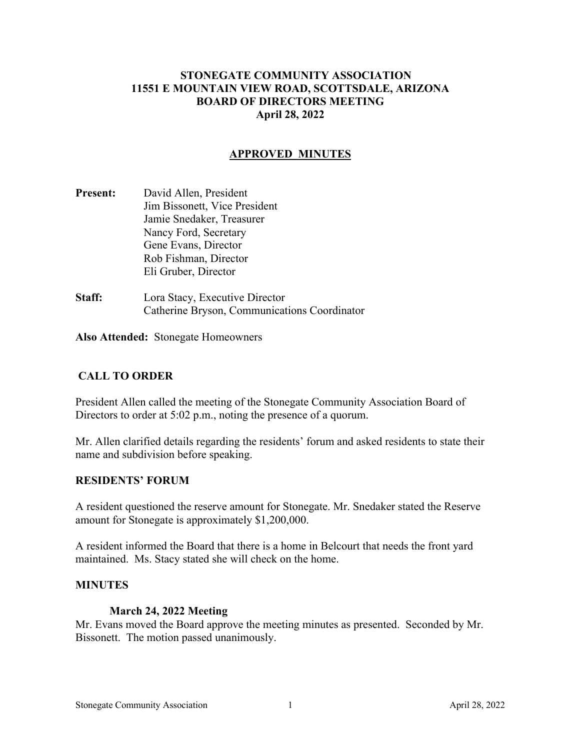# **STONEGATE COMMUNITY ASSOCIATION 11551 E MOUNTAIN VIEW ROAD, SCOTTSDALE, ARIZONA BOARD OF DIRECTORS MEETING April 28, 2022**

## **APPROVED MINUTES**

- **Present:** David Allen, President Jim Bissonett, Vice President Jamie Snedaker, Treasurer Nancy Ford, Secretary Gene Evans, Director Rob Fishman, Director Eli Gruber, Director
- **Staff:** Lora Stacy, Executive Director Catherine Bryson, Communications Coordinator

**Also Attended:** Stonegate Homeowners

## **CALL TO ORDER**

President Allen called the meeting of the Stonegate Community Association Board of Directors to order at 5:02 p.m., noting the presence of a quorum.

Mr. Allen clarified details regarding the residents' forum and asked residents to state their name and subdivision before speaking.

#### **RESIDENTS' FORUM**

A resident questioned the reserve amount for Stonegate. Mr. Snedaker stated the Reserve amount for Stonegate is approximately \$1,200,000.

A resident informed the Board that there is a home in Belcourt that needs the front yard maintained. Ms. Stacy stated she will check on the home.

#### **MINUTES**

#### **March 24, 2022 Meeting**

Mr. Evans moved the Board approve the meeting minutes as presented. Seconded by Mr. Bissonett. The motion passed unanimously.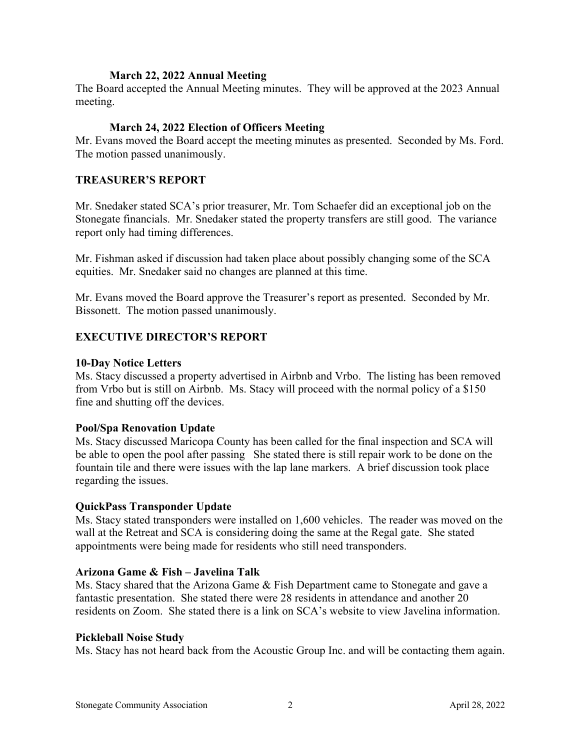## **March 22, 2022 Annual Meeting**

The Board accepted the Annual Meeting minutes. They will be approved at the 2023 Annual meeting.

# **March 24, 2022 Election of Officers Meeting**

Mr. Evans moved the Board accept the meeting minutes as presented. Seconded by Ms. Ford. The motion passed unanimously.

## **TREASURER'S REPORT**

Mr. Snedaker stated SCA's prior treasurer, Mr. Tom Schaefer did an exceptional job on the Stonegate financials. Mr. Snedaker stated the property transfers are still good. The variance report only had timing differences.

Mr. Fishman asked if discussion had taken place about possibly changing some of the SCA equities. Mr. Snedaker said no changes are planned at this time.

Mr. Evans moved the Board approve the Treasurer's report as presented. Seconded by Mr. Bissonett. The motion passed unanimously.

# **EXECUTIVE DIRECTOR'S REPORT**

### **10-Day Notice Letters**

Ms. Stacy discussed a property advertised in Airbnb and Vrbo. The listing has been removed from Vrbo but is still on Airbnb. Ms. Stacy will proceed with the normal policy of a \$150 fine and shutting off the devices.

## **Pool/Spa Renovation Update**

Ms. Stacy discussed Maricopa County has been called for the final inspection and SCA will be able to open the pool after passing She stated there is still repair work to be done on the fountain tile and there were issues with the lap lane markers. A brief discussion took place regarding the issues.

## **QuickPass Transponder Update**

Ms. Stacy stated transponders were installed on 1,600 vehicles. The reader was moved on the wall at the Retreat and SCA is considering doing the same at the Regal gate. She stated appointments were being made for residents who still need transponders.

## **Arizona Game & Fish – Javelina Talk**

Ms. Stacy shared that the Arizona Game & Fish Department came to Stonegate and gave a fantastic presentation. She stated there were 28 residents in attendance and another 20 residents on Zoom. She stated there is a link on SCA's website to view Javelina information.

#### **Pickleball Noise Study**

Ms. Stacy has not heard back from the Acoustic Group Inc. and will be contacting them again.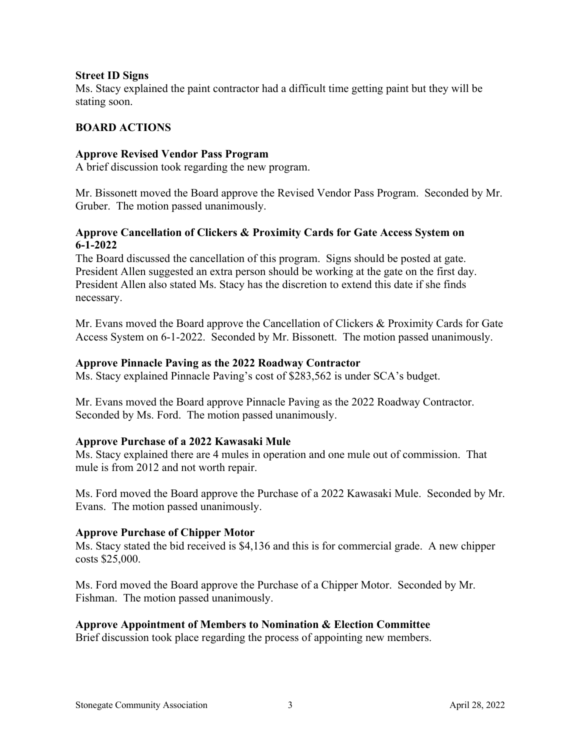### **Street ID Signs**

Ms. Stacy explained the paint contractor had a difficult time getting paint but they will be stating soon.

# **BOARD ACTIONS**

### **Approve Revised Vendor Pass Program**

A brief discussion took regarding the new program.

Mr. Bissonett moved the Board approve the Revised Vendor Pass Program. Seconded by Mr. Gruber. The motion passed unanimously.

# **Approve Cancellation of Clickers & Proximity Cards for Gate Access System on 6-1-2022**

The Board discussed the cancellation of this program. Signs should be posted at gate. President Allen suggested an extra person should be working at the gate on the first day. President Allen also stated Ms. Stacy has the discretion to extend this date if she finds necessary.

Mr. Evans moved the Board approve the Cancellation of Clickers & Proximity Cards for Gate Access System on 6-1-2022. Seconded by Mr. Bissonett. The motion passed unanimously.

### **Approve Pinnacle Paving as the 2022 Roadway Contractor**

Ms. Stacy explained Pinnacle Paving's cost of \$283,562 is under SCA's budget.

Mr. Evans moved the Board approve Pinnacle Paving as the 2022 Roadway Contractor. Seconded by Ms. Ford. The motion passed unanimously.

## **Approve Purchase of a 2022 Kawasaki Mule**

Ms. Stacy explained there are 4 mules in operation and one mule out of commission. That mule is from 2012 and not worth repair.

Ms. Ford moved the Board approve the Purchase of a 2022 Kawasaki Mule. Seconded by Mr. Evans. The motion passed unanimously.

#### **Approve Purchase of Chipper Motor**

Ms. Stacy stated the bid received is \$4,136 and this is for commercial grade. A new chipper costs \$25,000.

Ms. Ford moved the Board approve the Purchase of a Chipper Motor. Seconded by Mr. Fishman. The motion passed unanimously.

## **Approve Appointment of Members to Nomination & Election Committee**

Brief discussion took place regarding the process of appointing new members.